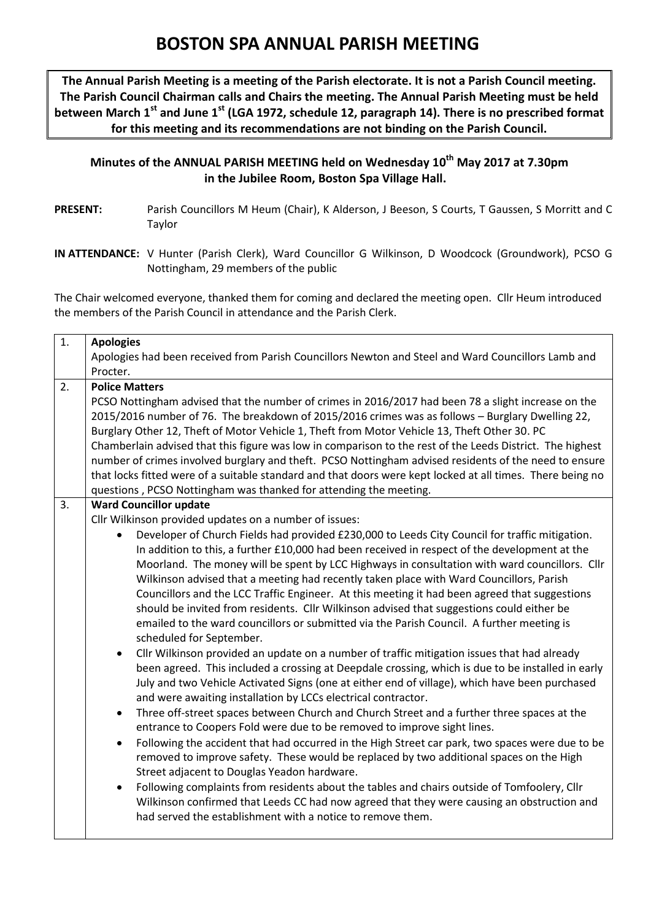## **BOSTON SPA ANNUAL PARISH MEETING**

**The Annual Parish Meeting is a meeting of the Parish electorate. It is not a Parish Council meeting. The Parish Council Chairman calls and Chairs the meeting. The Annual Parish Meeting must be held between March 1st and June 1st (LGA 1972, schedule 12, paragraph 14). There is no prescribed format for this meeting and its recommendations are not binding on the Parish Council.**

**Minutes of the ANNUAL PARISH MEETING held on Wednesday 10 th May 2017 at 7.30pm in the Jubilee Room, Boston Spa Village Hall.**

**PRESENT:** Parish Councillors M Heum (Chair), K Alderson, J Beeson, S Courts, T Gaussen, S Morritt and C Taylor

**IN ATTENDANCE:** V Hunter (Parish Clerk), Ward Councillor G Wilkinson, D Woodcock (Groundwork), PCSO G Nottingham, 29 members of the public

The Chair welcomed everyone, thanked them for coming and declared the meeting open. Cllr Heum introduced the members of the Parish Council in attendance and the Parish Clerk.

| 1. | <b>Apologies</b>                                                                                                                                         |  |  |  |  |  |  |  |  |  |  |  |
|----|----------------------------------------------------------------------------------------------------------------------------------------------------------|--|--|--|--|--|--|--|--|--|--|--|
|    | Apologies had been received from Parish Councillors Newton and Steel and Ward Councillors Lamb and                                                       |  |  |  |  |  |  |  |  |  |  |  |
|    | Procter.                                                                                                                                                 |  |  |  |  |  |  |  |  |  |  |  |
| 2. | <b>Police Matters</b>                                                                                                                                    |  |  |  |  |  |  |  |  |  |  |  |
|    | PCSO Nottingham advised that the number of crimes in 2016/2017 had been 78 a slight increase on the                                                      |  |  |  |  |  |  |  |  |  |  |  |
|    | 2015/2016 number of 76. The breakdown of 2015/2016 crimes was as follows - Burglary Dwelling 22,                                                         |  |  |  |  |  |  |  |  |  |  |  |
|    | Burglary Other 12, Theft of Motor Vehicle 1, Theft from Motor Vehicle 13, Theft Other 30. PC                                                             |  |  |  |  |  |  |  |  |  |  |  |
|    | Chamberlain advised that this figure was low in comparison to the rest of the Leeds District. The highest                                                |  |  |  |  |  |  |  |  |  |  |  |
|    | number of crimes involved burglary and theft. PCSO Nottingham advised residents of the need to ensure                                                    |  |  |  |  |  |  |  |  |  |  |  |
|    | that locks fitted were of a suitable standard and that doors were kept locked at all times. There being no                                               |  |  |  |  |  |  |  |  |  |  |  |
|    | questions, PCSO Nottingham was thanked for attending the meeting.                                                                                        |  |  |  |  |  |  |  |  |  |  |  |
| 3. | <b>Ward Councillor update</b>                                                                                                                            |  |  |  |  |  |  |  |  |  |  |  |
|    | Cllr Wilkinson provided updates on a number of issues:                                                                                                   |  |  |  |  |  |  |  |  |  |  |  |
|    | Developer of Church Fields had provided £230,000 to Leeds City Council for traffic mitigation.<br>$\bullet$                                              |  |  |  |  |  |  |  |  |  |  |  |
|    | In addition to this, a further £10,000 had been received in respect of the development at the                                                            |  |  |  |  |  |  |  |  |  |  |  |
|    | Moorland. The money will be spent by LCC Highways in consultation with ward councillors. Cllr                                                            |  |  |  |  |  |  |  |  |  |  |  |
|    | Wilkinson advised that a meeting had recently taken place with Ward Councillors, Parish                                                                  |  |  |  |  |  |  |  |  |  |  |  |
|    | Councillors and the LCC Traffic Engineer. At this meeting it had been agreed that suggestions                                                            |  |  |  |  |  |  |  |  |  |  |  |
|    | should be invited from residents. Cllr Wilkinson advised that suggestions could either be                                                                |  |  |  |  |  |  |  |  |  |  |  |
|    | emailed to the ward councillors or submitted via the Parish Council. A further meeting is                                                                |  |  |  |  |  |  |  |  |  |  |  |
|    | scheduled for September.                                                                                                                                 |  |  |  |  |  |  |  |  |  |  |  |
|    | Cllr Wilkinson provided an update on a number of traffic mitigation issues that had already<br>$\bullet$                                                 |  |  |  |  |  |  |  |  |  |  |  |
|    | been agreed. This included a crossing at Deepdale crossing, which is due to be installed in early                                                        |  |  |  |  |  |  |  |  |  |  |  |
|    | July and two Vehicle Activated Signs (one at either end of village), which have been purchased                                                           |  |  |  |  |  |  |  |  |  |  |  |
|    | and were awaiting installation by LCCs electrical contractor.                                                                                            |  |  |  |  |  |  |  |  |  |  |  |
|    | Three off-street spaces between Church and Church Street and a further three spaces at the<br>$\bullet$                                                  |  |  |  |  |  |  |  |  |  |  |  |
|    | entrance to Coopers Fold were due to be removed to improve sight lines.                                                                                  |  |  |  |  |  |  |  |  |  |  |  |
|    | Following the accident that had occurred in the High Street car park, two spaces were due to be<br>$\bullet$                                             |  |  |  |  |  |  |  |  |  |  |  |
|    | removed to improve safety. These would be replaced by two additional spaces on the High                                                                  |  |  |  |  |  |  |  |  |  |  |  |
|    | Street adjacent to Douglas Yeadon hardware.                                                                                                              |  |  |  |  |  |  |  |  |  |  |  |
|    | Following complaints from residents about the tables and chairs outside of Tomfoolery, Cllr<br>$\bullet$                                                 |  |  |  |  |  |  |  |  |  |  |  |
|    | Wilkinson confirmed that Leeds CC had now agreed that they were causing an obstruction and<br>had served the establishment with a notice to remove them. |  |  |  |  |  |  |  |  |  |  |  |
|    |                                                                                                                                                          |  |  |  |  |  |  |  |  |  |  |  |
|    |                                                                                                                                                          |  |  |  |  |  |  |  |  |  |  |  |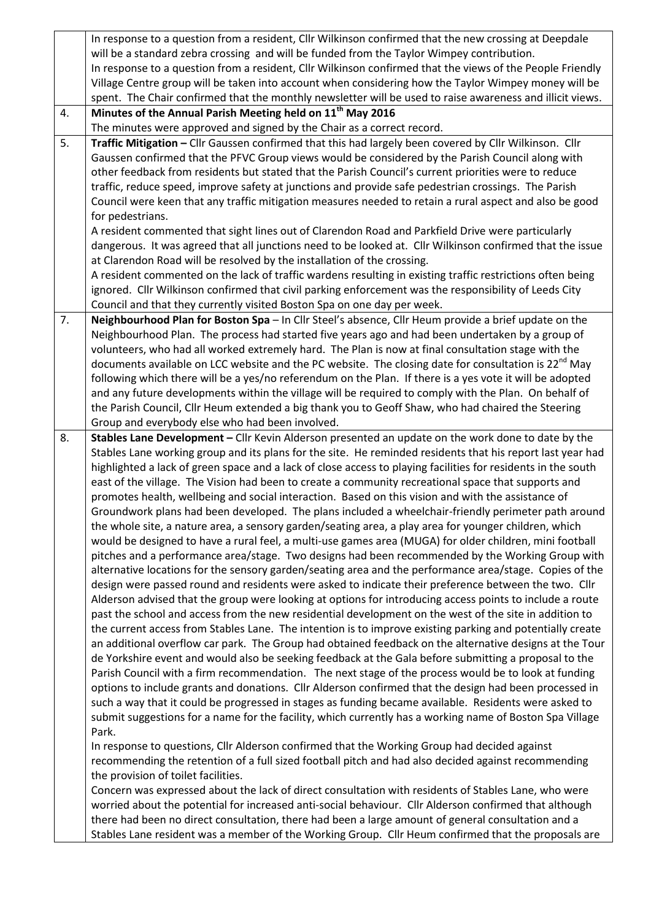|    | In response to a question from a resident, Cllr Wilkinson confirmed that the new crossing at Deepdale                                                                                                          |
|----|----------------------------------------------------------------------------------------------------------------------------------------------------------------------------------------------------------------|
|    | will be a standard zebra crossing and will be funded from the Taylor Wimpey contribution.                                                                                                                      |
|    | In response to a question from a resident, Cllr Wilkinson confirmed that the views of the People Friendly                                                                                                      |
|    | Village Centre group will be taken into account when considering how the Taylor Wimpey money will be                                                                                                           |
|    | spent. The Chair confirmed that the monthly newsletter will be used to raise awareness and illicit views.                                                                                                      |
| 4. | Minutes of the Annual Parish Meeting held on 11 <sup>th</sup> May 2016                                                                                                                                         |
|    | The minutes were approved and signed by the Chair as a correct record.                                                                                                                                         |
| 5. | Traffic Mitigation - Cllr Gaussen confirmed that this had largely been covered by Cllr Wilkinson. Cllr                                                                                                         |
|    | Gaussen confirmed that the PFVC Group views would be considered by the Parish Council along with                                                                                                               |
|    | other feedback from residents but stated that the Parish Council's current priorities were to reduce                                                                                                           |
|    | traffic, reduce speed, improve safety at junctions and provide safe pedestrian crossings. The Parish                                                                                                           |
|    | Council were keen that any traffic mitigation measures needed to retain a rural aspect and also be good                                                                                                        |
|    | for pedestrians.                                                                                                                                                                                               |
|    | A resident commented that sight lines out of Clarendon Road and Parkfield Drive were particularly                                                                                                              |
|    | dangerous. It was agreed that all junctions need to be looked at. Cllr Wilkinson confirmed that the issue                                                                                                      |
|    | at Clarendon Road will be resolved by the installation of the crossing.                                                                                                                                        |
|    | A resident commented on the lack of traffic wardens resulting in existing traffic restrictions often being                                                                                                     |
|    | ignored. Cllr Wilkinson confirmed that civil parking enforcement was the responsibility of Leeds City                                                                                                          |
|    | Council and that they currently visited Boston Spa on one day per week.                                                                                                                                        |
| 7. | Neighbourhood Plan for Boston Spa - In Cllr Steel's absence, Cllr Heum provide a brief update on the                                                                                                           |
|    | Neighbourhood Plan. The process had started five years ago and had been undertaken by a group of                                                                                                               |
|    | volunteers, who had all worked extremely hard. The Plan is now at final consultation stage with the                                                                                                            |
|    | documents available on LCC website and the PC website. The closing date for consultation is 22 <sup>nd</sup> May                                                                                               |
|    | following which there will be a yes/no referendum on the Plan. If there is a yes vote it will be adopted                                                                                                       |
|    | and any future developments within the village will be required to comply with the Plan. On behalf of                                                                                                          |
|    | the Parish Council, Cllr Heum extended a big thank you to Geoff Shaw, who had chaired the Steering                                                                                                             |
|    | Group and everybody else who had been involved.                                                                                                                                                                |
| 8. | Stables Lane Development - Cllr Kevin Alderson presented an update on the work done to date by the                                                                                                             |
|    | Stables Lane working group and its plans for the site. He reminded residents that his report last year had                                                                                                     |
|    | highlighted a lack of green space and a lack of close access to playing facilities for residents in the south                                                                                                  |
|    | east of the village. The Vision had been to create a community recreational space that supports and                                                                                                            |
|    | promotes health, wellbeing and social interaction. Based on this vision and with the assistance of                                                                                                             |
|    | Groundwork plans had been developed. The plans included a wheelchair-friendly perimeter path around                                                                                                            |
|    | the whole site, a nature area, a sensory garden/seating area, a play area for younger children, which                                                                                                          |
|    | would be designed to have a rural feel, a multi-use games area (MUGA) for older children, mini football                                                                                                        |
|    | pitches and a performance area/stage. Two designs had been recommended by the Working Group with                                                                                                               |
|    | alternative locations for the sensory garden/seating area and the performance area/stage. Copies of the                                                                                                        |
|    | design were passed round and residents were asked to indicate their preference between the two. Cllr                                                                                                           |
|    | Alderson advised that the group were looking at options for introducing access points to include a route                                                                                                       |
|    | past the school and access from the new residential development on the west of the site in addition to                                                                                                         |
|    | the current access from Stables Lane. The intention is to improve existing parking and potentially create                                                                                                      |
|    | an additional overflow car park. The Group had obtained feedback on the alternative designs at the Tour                                                                                                        |
|    | de Yorkshire event and would also be seeking feedback at the Gala before submitting a proposal to the                                                                                                          |
|    | Parish Council with a firm recommendation. The next stage of the process would be to look at funding<br>options to include grants and donations. Cllr Alderson confirmed that the design had been processed in |
|    |                                                                                                                                                                                                                |
|    |                                                                                                                                                                                                                |
|    | such a way that it could be progressed in stages as funding became available. Residents were asked to                                                                                                          |
|    | submit suggestions for a name for the facility, which currently has a working name of Boston Spa Village                                                                                                       |
|    | Park.                                                                                                                                                                                                          |
|    | In response to questions, Cllr Alderson confirmed that the Working Group had decided against                                                                                                                   |
|    | recommending the retention of a full sized football pitch and had also decided against recommending                                                                                                            |
|    | the provision of toilet facilities.                                                                                                                                                                            |
|    | Concern was expressed about the lack of direct consultation with residents of Stables Lane, who were                                                                                                           |
|    | worried about the potential for increased anti-social behaviour. Cllr Alderson confirmed that although                                                                                                         |
|    | there had been no direct consultation, there had been a large amount of general consultation and a<br>Stables Lane resident was a member of the Working Group. Cllr Heum confirmed that the proposals are      |